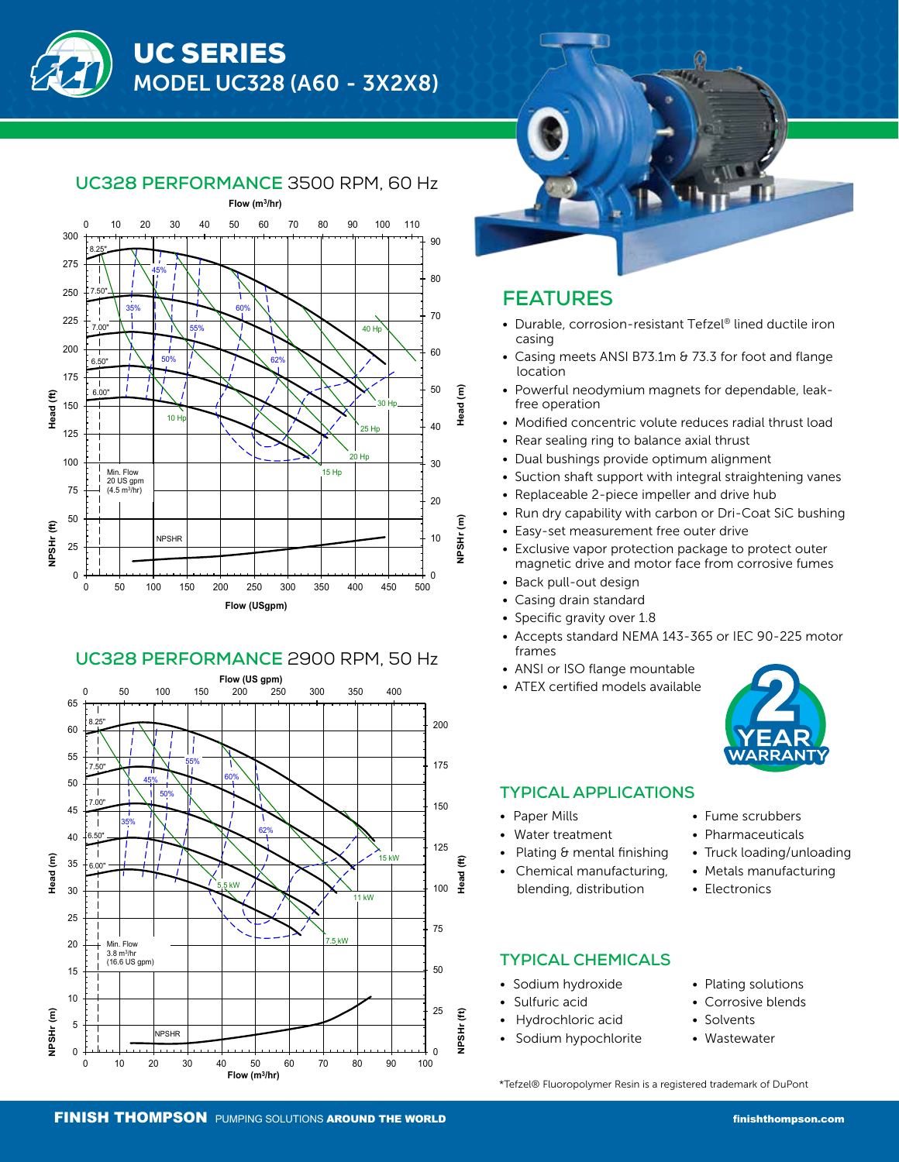



### **UC328 PERFORMANCE** 3500 RPM, 60 Hz







## **FEATURES**

- Durable, corrosion-resistant Tefzel® lined ductile iron casing
- Casing meets ANSI B73.1m & 73.3 for foot and flange location
- Powerful neodymium magnets for dependable, leak free operation
- Modified concentric volute reduces radial thrust load
- Rear sealing ring to balance axial thrust
- Dual bushings provide optimum alignment
- Suction shaft support with integral straightening vanes
- Replaceable 2-piece impeller and drive hub
- Run dry capability with carbon or Dri-Coat SiC bushing
- Easy-set measurement free outer drive
- Exclusive vapor protection package to protect outer magnetic drive and motor face from corrosive fumes
- Back pull-out design
- Casing drain standard
- Specific gravity over 1.8
- Accepts standard NEMA 143-365 or IEC 90-225 motor frames
- ANSI or ISO flange mountable
- ATEX certified models available



### **TYPICAL APPLICATIONS**

- Paper Mills
- Water treatment
- Plating & mental finishing
- Chemical manufacturing, blending, distribution

### **TYPICAL CHEMICALS**

- Sodium hydroxide
- Sulfuric acid
- Hydrochloric acid
- Sodium hypochlorite
- Fume scrubbers
- Pharmaceuticals
- Truck loading/unloading
- Metals manufacturing
- Electronics
- Plating solutions
	- Corrosive blends
- Solvents
	- Wastewater

\*Tefzel® Fluoropolymer Resin is a registered trademark of DuPont